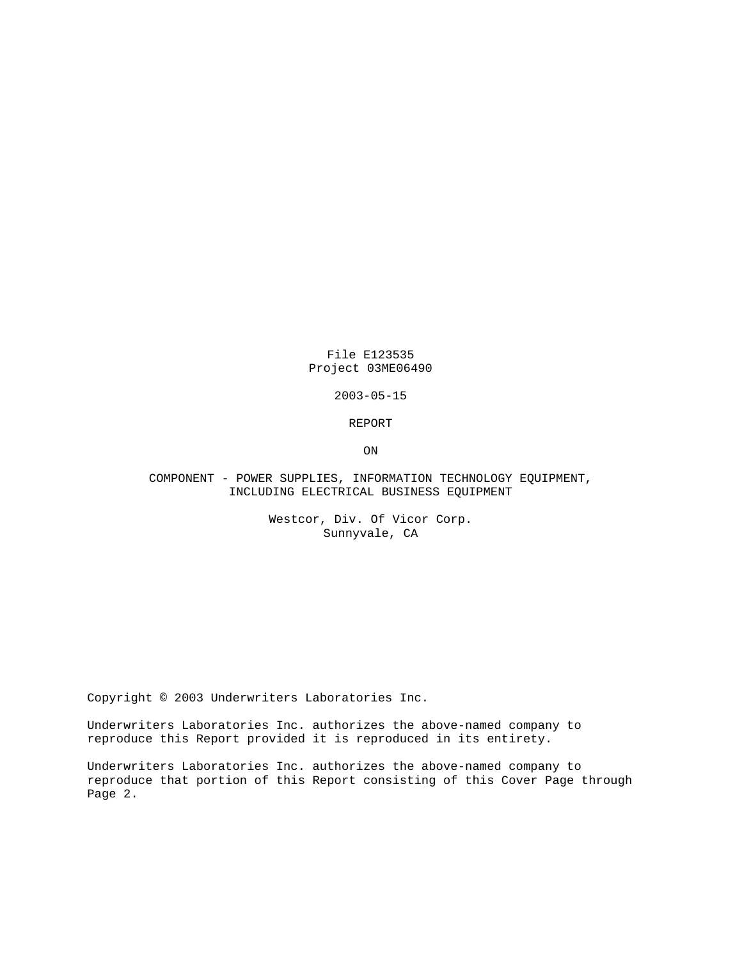File E123535 Project 03ME06490

2003-05-15

REPORT

ON

## COMPONENT - POWER SUPPLIES, INFORMATION TECHNOLOGY EQUIPMENT, INCLUDING ELECTRICAL BUSINESS EQUIPMENT

Westcor, Div. Of Vicor Corp. Sunnyvale, CA

Copyright © 2003 Underwriters Laboratories Inc.

Underwriters Laboratories Inc. authorizes the above-named company to reproduce this Report provided it is reproduced in its entirety.

Underwriters Laboratories Inc. authorizes the above-named company to reproduce that portion of this Report consisting of this Cover Page through Page 2.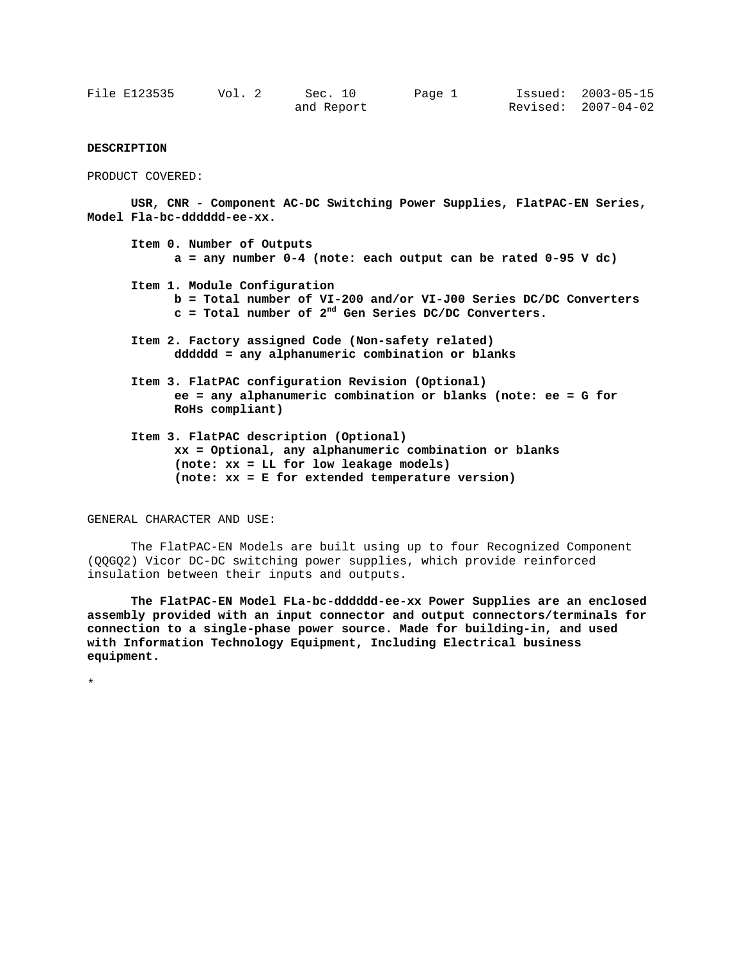| File E123535 | Vol. 2 | Sec. 10    | Page 1 | Issued: 2003-05-15  |
|--------------|--------|------------|--------|---------------------|
|              |        | and Report |        | Revised: 2007-04-02 |

## **DESCRIPTION**

PRODUCT COVERED:

 **USR, CNR - Component AC-DC Switching Power Supplies, FlatPAC-EN Series, Model Fla-bc-dddddd-ee-xx.** 

**Item 0. Number of Outputs a = any number 0-4 (note: each output can be rated 0-95 V dc)** 

- **Item 1. Module Configuration b = Total number of VI-200 and/or VI-J00 Series DC/DC Converters c = Total number of 2nd Gen Series DC/DC Converters.**
- **Item 2. Factory assigned Code (Non-safety related) dddddd = any alphanumeric combination or blanks**
- **Item 3. FlatPAC configuration Revision (Optional) ee = any alphanumeric combination or blanks (note: ee = G for RoHs compliant)**
- **Item 3. FlatPAC description (Optional) xx = Optional, any alphanumeric combination or blanks (note: xx = LL for low leakage models) (note: xx = E for extended temperature version)**

GENERAL CHARACTER AND USE:

The FlatPAC-EN Models are built using up to four Recognized Component (QQGQ2) Vicor DC-DC switching power supplies, which provide reinforced insulation between their inputs and outputs.

**The FlatPAC-EN Model FLa-bc-dddddd-ee-xx Power Supplies are an enclosed assembly provided with an input connector and output connectors/terminals for connection to a single-phase power source. Made for building-in, and used with Information Technology Equipment, Including Electrical business equipment.** 

\*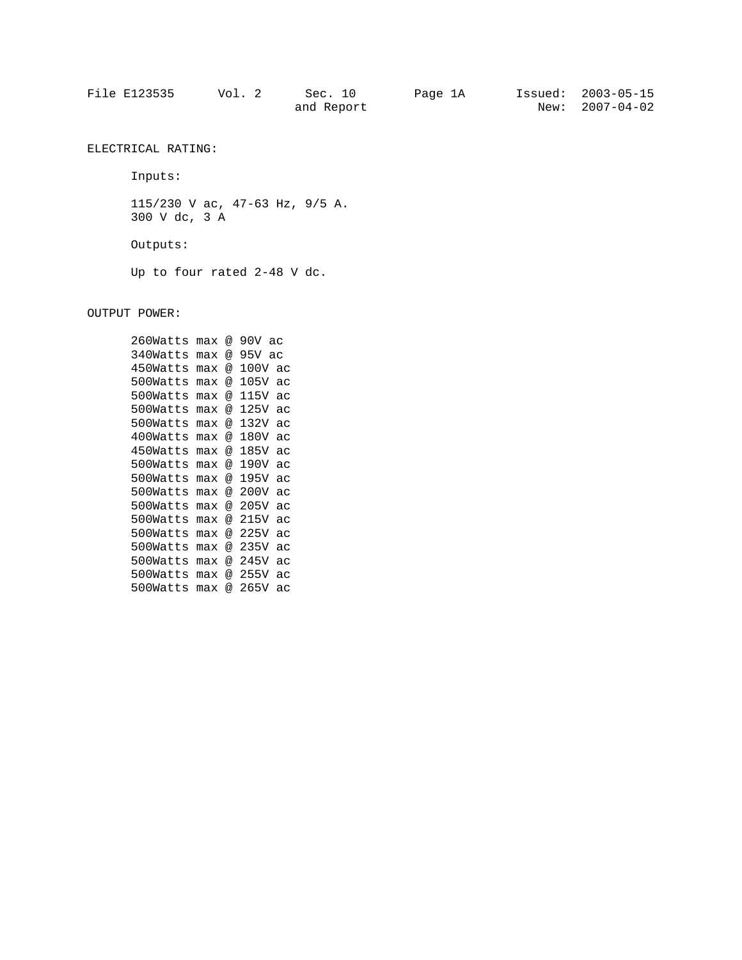| File E123535 | Vol. 2 | Sec. 10    | Page 1A | Issued: 2003-05-15 |
|--------------|--------|------------|---------|--------------------|
|              |        | and Report |         | New: 2007-04-02    |

ELECTRICAL RATING:

Inputs:

115/230 V ac, 47-63 Hz, 9/5 A. 300 V dc, 3 A Outputs: Up to four rated 2-48 V dc.

OUTPUT POWER:

260Watts max @ 90V ac 340Watts max @ 95V ac 450Watts max @ 100V ac 500Watts max @ 105V ac 500Watts max @ 115V ac 500Watts max @ 125V ac 500Watts max @ 132V ac 400Watts max @ 180V ac 450Watts max @ 185V ac 500Watts max @ 190V ac 500Watts max @ 195V ac 500Watts max @ 200V ac 500Watts max @ 205V ac 500Watts max @ 215V ac 500Watts max @ 225V ac 500Watts max @ 235V ac 500Watts max @ 245V ac 500Watts max @ 255V ac 500Watts max @ 265V ac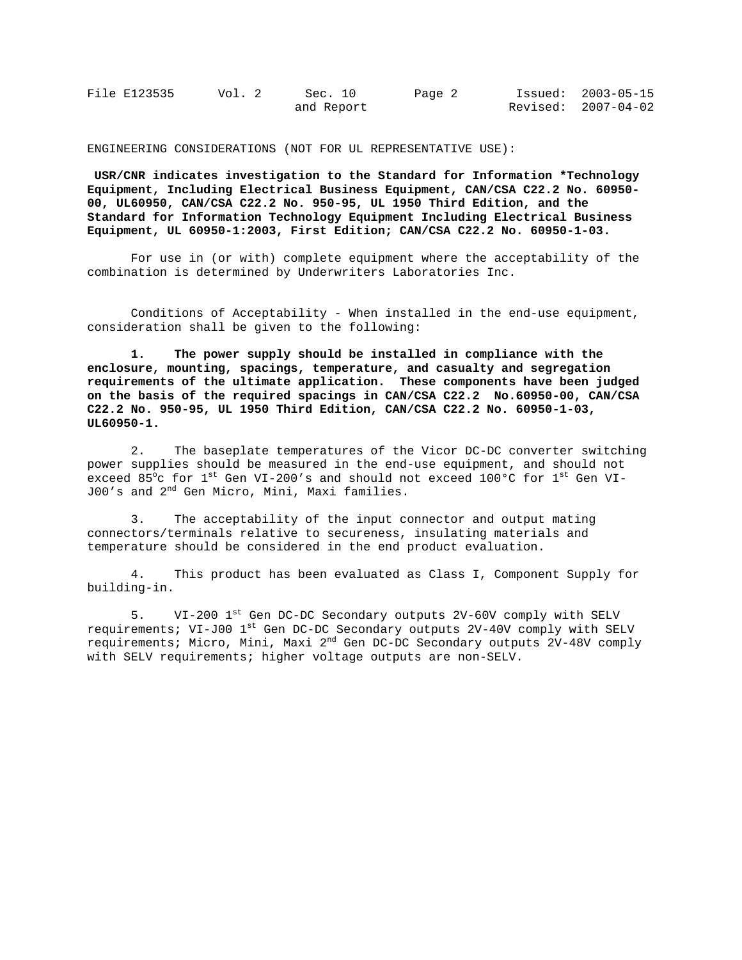| File E123535 | Vol. 2 | Sec. 10    | Page 2 | Issued: 2003-05-15  |
|--------------|--------|------------|--------|---------------------|
|              |        | and Report |        | Revised: 2007-04-02 |

ENGINEERING CONSIDERATIONS (NOT FOR UL REPRESENTATIVE USE):

 **USR/CNR indicates investigation to the Standard for Information \*Technology Equipment, Including Electrical Business Equipment, CAN/CSA C22.2 No. 60950- 00, UL60950, CAN/CSA C22.2 No. 950-95, UL 1950 Third Edition, and the Standard for Information Technology Equipment Including Electrical Business Equipment, UL 60950-1:2003, First Edition; CAN/CSA C22.2 No. 60950-1-03.** 

 For use in (or with) complete equipment where the acceptability of the combination is determined by Underwriters Laboratories Inc.

Conditions of Acceptability - When installed in the end-use equipment, consideration shall be given to the following:

 **1. The power supply should be installed in compliance with the enclosure, mounting, spacings, temperature, and casualty and segregation requirements of the ultimate application. These components have been judged on the basis of the required spacings in CAN/CSA C22.2 No.60950-00, CAN/CSA C22.2 No. 950-95, UL 1950 Third Edition, CAN/CSA C22.2 No. 60950-1-03, UL60950-1.** 

 2. The baseplate temperatures of the Vicor DC-DC converter switching power supplies should be measured in the end-use equipment, and should not exceed 85 $^{\circ}$ c for  $1^{\rm st}$  Gen VI-200's and should not exceed 100 $^{\circ}$ C for  $1^{\rm st}$  Gen VI-J00's and 2<sup>nd</sup> Gen Micro, Mini, Maxi families.

 3. The acceptability of the input connector and output mating connectors/terminals relative to secureness, insulating materials and temperature should be considered in the end product evaluation.

 4. This product has been evaluated as Class I, Component Supply for building-in.

5. VI-200 1st Gen DC-DC Secondary outputs 2V-60V comply with SELV requirements; VI-J00 1<sup>st</sup> Gen DC-DC Secondary outputs 2V-40V comply with SELV requirements; Micro, Mini, Maxi 2<sup>nd</sup> Gen DC-DC Secondary outputs 2V-48V comply with SELV requirements; higher voltage outputs are non-SELV.